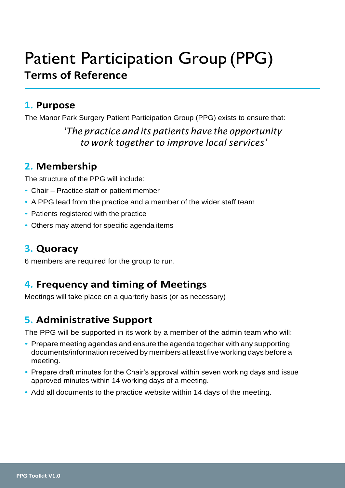# Patient Participation Group (PPG) **Terms of Reference**

#### **1. Purpose**

The Manor Park Surgery Patient Participation Group (PPG) exists to ensure that:

#### *'The practice and its patients have the opportunity to work together to improve local services'*

## **2. Membership**

The structure of the PPG will include:

- Chair Practice staff or patient member
- A PPG lead from the practice and a member of the wider staff team
- Patients registered with the practice
- Others may attend for specific agenda items

## **3. Quoracy**

6 members are required for the group to run.

## **4. Frequency and timing of Meetings**

Meetings will take place on a quarterly basis (or as necessary)

# **5. Administrative Support**

The PPG will be supported in its work by a member of the admin team who will:

- Prepare meeting agendas and ensure the agenda together with any supporting documents/information received by members at least five working days before a meeting.
- Prepare draft minutes for the Chair's approval within seven working days and issue approved minutes within 14 working days of a meeting.
- Add all documents to the practice website within 14 days of the meeting.